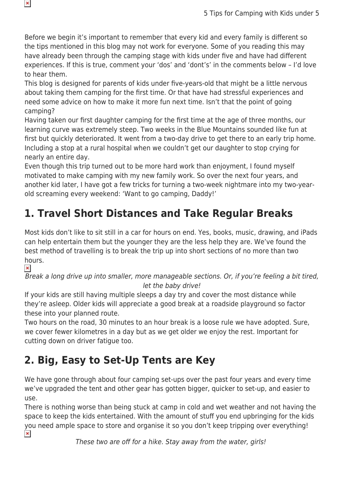Before we begin it's important to remember that every kid and every family is different so the tips mentioned in this blog may not work for everyone. Some of you reading this may have already been through the camping stage with kids under five and have had different experiences. If this is true, comment your 'dos' and 'dont's' in the comments below – I'd love to hear them.

This blog is designed for parents of kids under five-years-old that might be a little nervous about taking them camping for the first time. Or that have had stressful experiences and need some advice on how to make it more fun next time. Isn't that the point of going camping?

Having taken our first daughter camping for the first time at the age of three months, our learning curve was extremely steep. Two weeks in the Blue Mountains sounded like fun at first but quickly deteriorated. It went from a two-day drive to get there to an early trip home. Including a stop at a rural hospital when we couldn't get our daughter to stop crying for nearly an entire day.

Even though this trip turned out to be more hard work than enjoyment, I found myself motivated to make camping with my new family work. So over the next four years, and another kid later, I have got a few tricks for turning a two-week nightmare into my two-yearold screaming every weekend: 'Want to go camping, Daddy!'

# **1. Travel Short Distances and Take Regular Breaks**

Most kids don't like to sit still in a car for hours on end. Yes, books, music, drawing, and iPads can help entertain them but the younger they are the less help they are. We've found the best method of travelling is to break the trip up into short sections of no more than two hours.

 $\pmb{\times}$ 

 $\pmb{\times}$ 

Break a long drive up into smaller, more manageable sections. Or, if you're feeling a bit tired, let the baby drive!

If your kids are still having multiple sleeps a day try and cover the most distance while they're asleep. Older kids will appreciate a good break at a roadside playground so factor these into your planned route.

Two hours on the road, 30 minutes to an hour break is a loose rule we have adopted. Sure, we cover fewer kilometres in a day but as we get older we enjoy the rest. Important for cutting down on driver fatigue too.

## **2. Big, Easy to Set-Up Tents are Key**

We have gone through about four camping set-ups over the past four years and every time we've upgraded the tent and other gear has gotten bigger, quicker to set-up, and easier to use.

There is nothing worse than being stuck at camp in cold and wet weather and not having the space to keep the kids entertained. With the amount of stuff you end upbringing for the kids you need ample space to store and organise it so you don't keep tripping over everything!  $\pmb{\times}$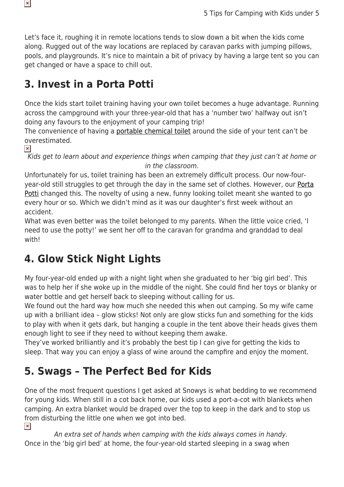Let's face it, roughing it in remote locations tends to slow down a bit when the kids come along. Rugged out of the way locations are replaced by caravan parks with jumping pillows, pools, and playgrounds. It's nice to maintain a bit of privacy by having a large tent so you can get changed or have a space to chill out.

#### **3. Invest in a Porta Potti**

Once the kids start toilet training having your own toilet becomes a huge advantage. Running across the campground with your three-year-old that has a 'number two' halfway out isn't doing any favours to the enjoyment of your camping trip!

The convenience of having a [portable chemical toilet](https://www.snowys.com.au/thetford) around the side of your tent can't be overestimated.

 $\pmb{\times}$ 

 $\pmb{\mathsf{x}}$ 

Kids get to learn about and experience things when camping that they just can't at home or in the classroom.

Unfortunately for us, toilet training has been an extremely difficult process. Our now-fouryear-old still struggles to get through the day in the same set of clothes. However, our **[Porta](https://www.snowys.com.au/thetford)** [Potti](https://www.snowys.com.au/thetford) changed this. The novelty of using a new, funny looking toilet meant she wanted to go every hour or so. Which we didn't mind as it was our daughter's first week without an accident.

What was even better was the toilet belonged to my parents. When the little voice cried, 'I need to use the potty!' we sent her off to the caravan for grandma and granddad to deal with!

## **4. Glow Stick Night Lights**

My four-year-old ended up with a night light when she graduated to her 'big girl bed'. This was to help her if she woke up in the middle of the night. She could find her toys or blanky or water bottle and get herself back to sleeping without calling for us.

We found out the hard way how much she needed this when out camping. So my wife came up with a brilliant idea – glow sticks! Not only are glow sticks fun and something for the kids to play with when it gets dark, but hanging a couple in the tent above their heads gives them enough light to see if they need to without keeping them awake.

They've worked brilliantly and it's probably the best tip I can give for getting the kids to sleep. That way you can enjoy a glass of wine around the campfire and enjoy the moment.

## **5. Swags – The Perfect Bed for Kids**

One of the most frequent questions I get asked at Snowys is what bedding to we recommend for young kids. When still in a cot back home, our kids used a port-a-cot with blankets when camping. An extra blanket would be draped over the top to keep in the dark and to stop us from disturbing the little one when we got into bed.  $\pmb{\times}$ 

An extra set of hands when camping with the kids always comes in handy. Once in the 'big girl bed' at home, the four-year-old started sleeping in a swag when